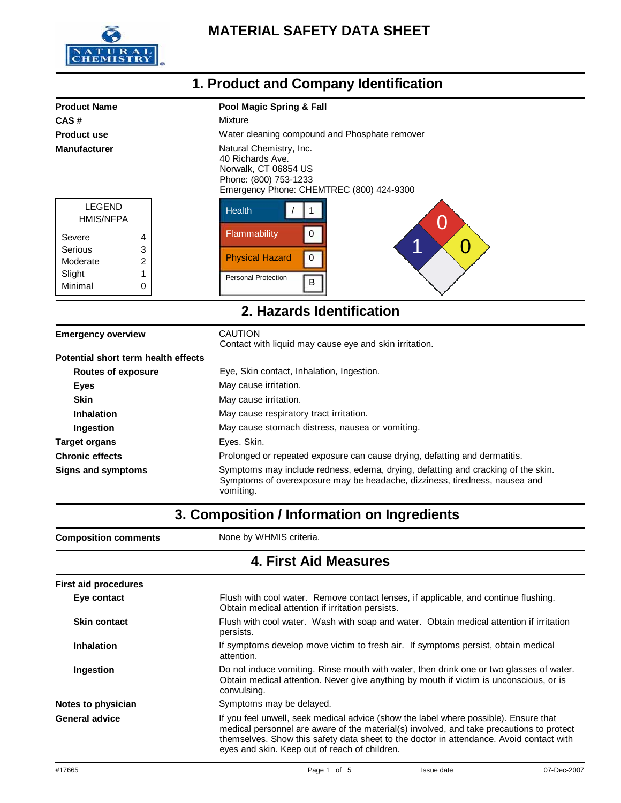

#### **1. Product and Company Identification Product Name Pool Magic Spring & Fall CAS #** Mixture **Product use** Water cleaning compound and Phosphate remover **Manufacturer** Matural Chemistry, Inc. 40 Richards Ave. Norwalk, CT 06854 US Phone: (800) 753-1233 Emergency Phone: CHEMTREC (800) 424-9300 LEGEND Health / 1

| LEGEND<br><b>HMIS/NFPA</b> |   |  |
|----------------------------|---|--|
| Severe                     | 4 |  |
| Serious                    | 3 |  |
| Moderate                   | 2 |  |
| Slight                     | 1 |  |
| Minimal                    | በ |  |



#### **2. Hazards Identification**

| <b>Emergency overview</b>           | <b>CAUTION</b><br>Contact with liquid may cause eye and skin irritation.                                                                                                    |
|-------------------------------------|-----------------------------------------------------------------------------------------------------------------------------------------------------------------------------|
| Potential short term health effects |                                                                                                                                                                             |
| <b>Routes of exposure</b>           | Eye, Skin contact, Inhalation, Ingestion.                                                                                                                                   |
| Eyes                                | May cause irritation.                                                                                                                                                       |
| <b>Skin</b>                         | May cause irritation.                                                                                                                                                       |
| <b>Inhalation</b>                   | May cause respiratory tract irritation.                                                                                                                                     |
| Ingestion                           | May cause stomach distress, nausea or vomiting.                                                                                                                             |
| <b>Target organs</b>                | Eyes. Skin.                                                                                                                                                                 |
| <b>Chronic effects</b>              | Prolonged or repeated exposure can cause drying, defatting and dermatitis.                                                                                                  |
| <b>Signs and symptoms</b>           | Symptoms may include redness, edema, drying, defatting and cracking of the skin.<br>Symptoms of overexposure may be headache, dizziness, tiredness, nausea and<br>vomiting. |

### **3. Composition / Information on Ingredients**

| <b>Composition comments</b> | None by WHMIS criteria.                                                                                                                                                                                                                                                                                                      |
|-----------------------------|------------------------------------------------------------------------------------------------------------------------------------------------------------------------------------------------------------------------------------------------------------------------------------------------------------------------------|
|                             | <b>4. First Aid Measures</b>                                                                                                                                                                                                                                                                                                 |
| <b>First aid procedures</b> |                                                                                                                                                                                                                                                                                                                              |
| Eye contact                 | Flush with cool water. Remove contact lenses, if applicable, and continue flushing.<br>Obtain medical attention if irritation persists.                                                                                                                                                                                      |
| <b>Skin contact</b>         | Flush with cool water. Wash with soap and water. Obtain medical attention if irritation<br>persists.                                                                                                                                                                                                                         |
| <b>Inhalation</b>           | If symptoms develop move victim to fresh air. If symptoms persist, obtain medical<br>attention.                                                                                                                                                                                                                              |
| Ingestion                   | Do not induce vomiting. Rinse mouth with water, then drink one or two glasses of water.<br>Obtain medical attention. Never give anything by mouth if victim is unconscious, or is<br>convulsing.                                                                                                                             |
| Notes to physician          | Symptoms may be delayed.                                                                                                                                                                                                                                                                                                     |
| <b>General advice</b>       | If you feel unwell, seek medical advice (show the label where possible). Ensure that<br>medical personnel are aware of the material(s) involved, and take precautions to protect<br>themselves. Show this safety data sheet to the doctor in attendance. Avoid contact with<br>eyes and skin. Keep out of reach of children. |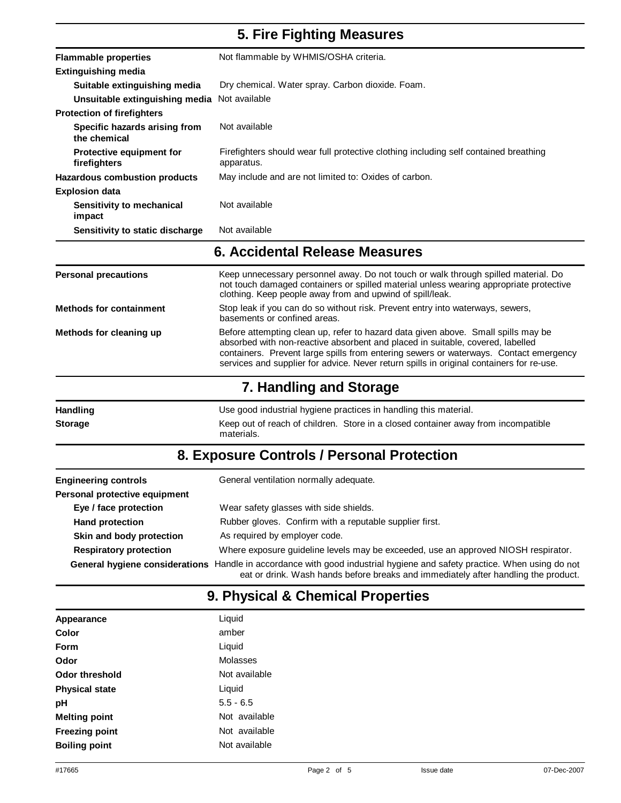## **5. Fire Fighting Measures**

| <b>Flammable properties</b>                   | Not flammable by WHMIS/OSHA criteria.                                                              |
|-----------------------------------------------|----------------------------------------------------------------------------------------------------|
| Extinguishing media                           |                                                                                                    |
| Suitable extinguishing media                  | Dry chemical. Water spray. Carbon dioxide. Foam.                                                   |
| Unsuitable extinguishing media Not available  |                                                                                                    |
| <b>Protection of firefighters</b>             |                                                                                                    |
| Specific hazards arising from<br>the chemical | Not available                                                                                      |
| Protective equipment for<br>firefighters      | Firefighters should wear full protective clothing including self contained breathing<br>apparatus. |
| <b>Hazardous combustion products</b>          | May include and are not limited to: Oxides of carbon.                                              |
| <b>Explosion data</b>                         |                                                                                                    |
| Sensitivity to mechanical<br>impact           | Not available                                                                                      |
| Sensitivity to static discharge               | Not available                                                                                      |

#### **6. Accidental Release Measures**

| <b>Personal precautions</b>    | Keep unnecessary personnel away. Do not touch or walk through spilled material. Do<br>not touch damaged containers or spilled material unless wearing appropriate protective<br>clothing. Keep people away from and upwind of spill/leak.                                                                                                                |
|--------------------------------|----------------------------------------------------------------------------------------------------------------------------------------------------------------------------------------------------------------------------------------------------------------------------------------------------------------------------------------------------------|
| <b>Methods for containment</b> | Stop leak if you can do so without risk. Prevent entry into waterways, sewers,<br>basements or confined areas.                                                                                                                                                                                                                                           |
| Methods for cleaning up        | Before attempting clean up, refer to hazard data given above. Small spills may be<br>absorbed with non-reactive absorbent and placed in suitable, covered, labelled<br>containers. Prevent large spills from entering sewers or waterways. Contact emergency<br>services and supplier for advice. Never return spills in original containers for re-use. |
|                                | 7. Handling and Storage                                                                                                                                                                                                                                                                                                                                  |

| <b>Handling</b> | Use good industrial hygiene practices in handling this material.                                |
|-----------------|-------------------------------------------------------------------------------------------------|
| <b>Storage</b>  | Keep out of reach of children. Store in a closed container away from incompatible<br>materials. |

# **8. Exposure Controls / Personal Protection**

| <b>Engineering controls</b>    | General ventilation normally adequate.                                                                                                                                         |
|--------------------------------|--------------------------------------------------------------------------------------------------------------------------------------------------------------------------------|
| Personal protective equipment  |                                                                                                                                                                                |
| Eye / face protection          | Wear safety glasses with side shields.                                                                                                                                         |
| <b>Hand protection</b>         | Rubber gloves. Confirm with a reputable supplier first.                                                                                                                        |
| Skin and body protection       | As required by employer code.                                                                                                                                                  |
| <b>Respiratory protection</b>  | Where exposure guideline levels may be exceeded, use an approved NIOSH respirator.                                                                                             |
| General hygiene considerations | Handle in accordance with good industrial hygiene and safety practice. When using do not<br>eat or drink. Wash hands before breaks and immediately after handling the product. |

# **9. Physical & Chemical Properties**

| Appearance            | Liquid        |
|-----------------------|---------------|
| Color                 | amber         |
| Form                  | Liquid        |
| Odor                  | Molasses      |
| Odor threshold        | Not available |
| <b>Physical state</b> | Liquid        |
| рH                    | $5.5 - 6.5$   |
| <b>Melting point</b>  | Not available |
| <b>Freezing point</b> | Not available |
| <b>Boiling point</b>  | Not available |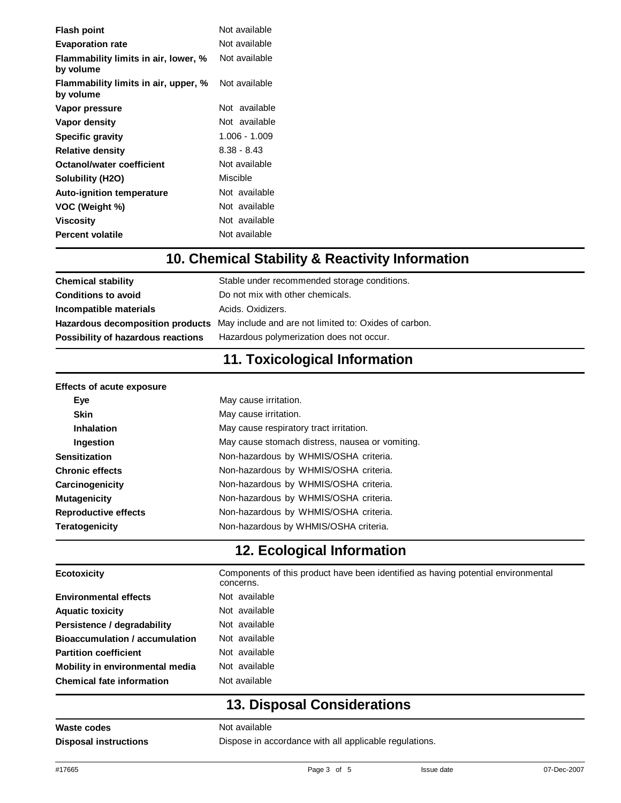| <b>Flash point</b>                                | Not available |  |
|---------------------------------------------------|---------------|--|
| <b>Evaporation rate</b>                           | Not available |  |
| Flammability limits in air, lower, %<br>by volume | Not available |  |
| Flammability limits in air, upper, %<br>by volume | Not available |  |
| Vapor pressure                                    | Not available |  |
| Vapor density                                     | Not available |  |
| <b>Specific gravity</b>                           | 1.006 - 1.009 |  |
| <b>Relative density</b>                           | 8.38 - 8.43   |  |
| Octanol/water coefficient                         | Not available |  |
| Solubility (H2O)                                  | Miscible      |  |
| <b>Auto-ignition temperature</b>                  | Not available |  |
| VOC (Weight %)                                    | Not available |  |
| Viscosity                                         | Not available |  |
| <b>Percent volatile</b>                           | Not available |  |

#### **10. Chemical Stability & Reactivity Information**

| <b>Chemical stability</b>          | Stable under recommended storage conditions.                                           |
|------------------------------------|----------------------------------------------------------------------------------------|
| <b>Conditions to avoid</b>         | Do not mix with other chemicals.                                                       |
| Incompatible materials             | Acids, Oxidizers,                                                                      |
|                                    | Hazardous decomposition products May include and are not limited to: Oxides of carbon. |
| Possibility of hazardous reactions | Hazardous polymerization does not occur.                                               |

## **11. Toxicological Information**

| May cause irritation.                           |
|-------------------------------------------------|
| May cause irritation.                           |
| May cause respiratory tract irritation.         |
| May cause stomach distress, nausea or vomiting. |
| Non-hazardous by WHMIS/OSHA criteria.           |
| Non-hazardous by WHMIS/OSHA criteria.           |
| Non-hazardous by WHMIS/OSHA criteria.           |
| Non-hazardous by WHMIS/OSHA criteria.           |
| Non-hazardous by WHMIS/OSHA criteria.           |
| Non-hazardous by WHMIS/OSHA criteria.           |
|                                                 |

## **12. Ecological Information**

| <b>Ecotoxicity</b>                    | Components of this product have been identified as having potential environmental<br>concerns. |
|---------------------------------------|------------------------------------------------------------------------------------------------|
| <b>Environmental effects</b>          | Not available                                                                                  |
| <b>Aquatic toxicity</b>               | Not available                                                                                  |
| Persistence / degradability           | Not available                                                                                  |
| <b>Bioaccumulation / accumulation</b> | Not available                                                                                  |
| <b>Partition coefficient</b>          | Not available                                                                                  |
| Mobility in environmental media       | Not available                                                                                  |
| <b>Chemical fate information</b>      | Not available                                                                                  |

## **13. Disposal Considerations**

**Waste codes** Not available

**Disposal instructions** Dispose in accordance with all applicable regulations.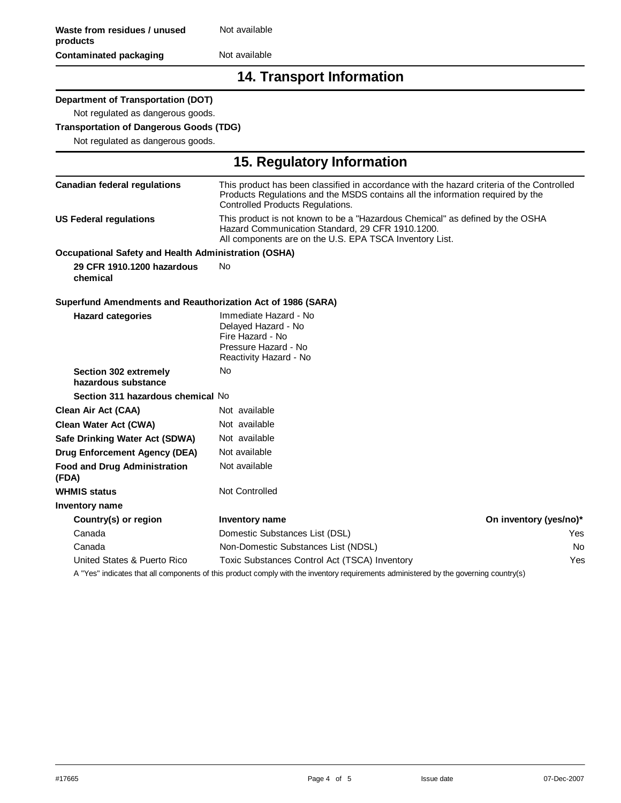#### **Contaminated packaging** Not available

#### **14. Transport Information**

**15. Regulatory Information**

#### **Department of Transportation (DOT)**

Not regulated as dangerous goods.

#### **Transportation of Dangerous Goods (TDG)**

Not regulated as dangerous goods.

| 19. Regulatory information                                  |                                                                                                                                                                                                                 |                        |
|-------------------------------------------------------------|-----------------------------------------------------------------------------------------------------------------------------------------------------------------------------------------------------------------|------------------------|
| <b>Canadian federal regulations</b>                         | This product has been classified in accordance with the hazard criteria of the Controlled<br>Products Regulations and the MSDS contains all the information required by the<br>Controlled Products Regulations. |                        |
| <b>US Federal regulations</b>                               | This product is not known to be a "Hazardous Chemical" as defined by the OSHA<br>Hazard Communication Standard, 29 CFR 1910.1200.<br>All components are on the U.S. EPA TSCA Inventory List.                    |                        |
| Occupational Safety and Health Administration (OSHA)        |                                                                                                                                                                                                                 |                        |
| 29 CFR 1910.1200 hazardous<br>chemical                      | <b>No</b>                                                                                                                                                                                                       |                        |
| Superfund Amendments and Reauthorization Act of 1986 (SARA) |                                                                                                                                                                                                                 |                        |
| <b>Hazard categories</b>                                    | Immediate Hazard - No<br>Delayed Hazard - No<br>Fire Hazard - No<br>Pressure Hazard - No<br>Reactivity Hazard - No                                                                                              |                        |
| Section 302 extremely<br>hazardous substance                | No                                                                                                                                                                                                              |                        |
| Section 311 hazardous chemical No                           |                                                                                                                                                                                                                 |                        |
| Clean Air Act (CAA)                                         | Not available                                                                                                                                                                                                   |                        |
| Clean Water Act (CWA)                                       | Not available                                                                                                                                                                                                   |                        |
| Safe Drinking Water Act (SDWA)                              | Not available                                                                                                                                                                                                   |                        |
| <b>Drug Enforcement Agency (DEA)</b>                        | Not available                                                                                                                                                                                                   |                        |
| <b>Food and Drug Administration</b><br>(FDA)                | Not available                                                                                                                                                                                                   |                        |
| <b>WHMIS status</b>                                         | Not Controlled                                                                                                                                                                                                  |                        |
| Inventory name                                              |                                                                                                                                                                                                                 |                        |
| Country(s) or region                                        | <b>Inventory name</b>                                                                                                                                                                                           | On inventory (yes/no)* |
| Canada                                                      | Domestic Substances List (DSL)                                                                                                                                                                                  | Yes.                   |
| Canada                                                      | Non-Domestic Substances List (NDSL)                                                                                                                                                                             | No.                    |
| United States & Puerto Rico                                 | Toxic Substances Control Act (TSCA) Inventory                                                                                                                                                                   | Yes                    |
|                                                             | A "Yes" indicates that all components of this product comply with the inventory requirements administered by the governing country(s)                                                                           |                        |